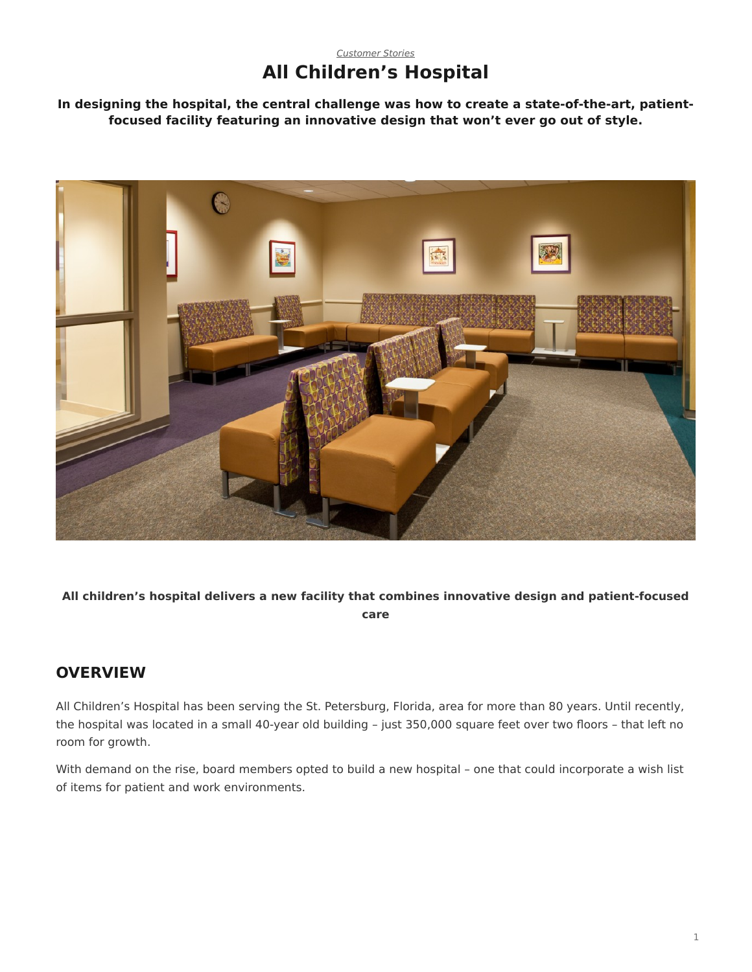## *[Customer Stories](https://www.steelcase.com/asia-en/research/topics/customer-stories/)* **All Children's Hospital**

**In designing the hospital, the central challenge was how to create a state-of-the-art, patientfocused facility featuring an innovative design that won't ever go out of style.**



**All children's hospital delivers a new facility that combines innovative design and patient-focused care**

## **OVERVIEW**

All Children's Hospital has been serving the St. Petersburg, Florida, area for more than 80 years. Until recently, the hospital was located in a small 40-year old building – just 350,000 square feet over two floors – that left no room for growth.

With demand on the rise, board members opted to build a new hospital – one that could incorporate a wish list of items for patient and work environments.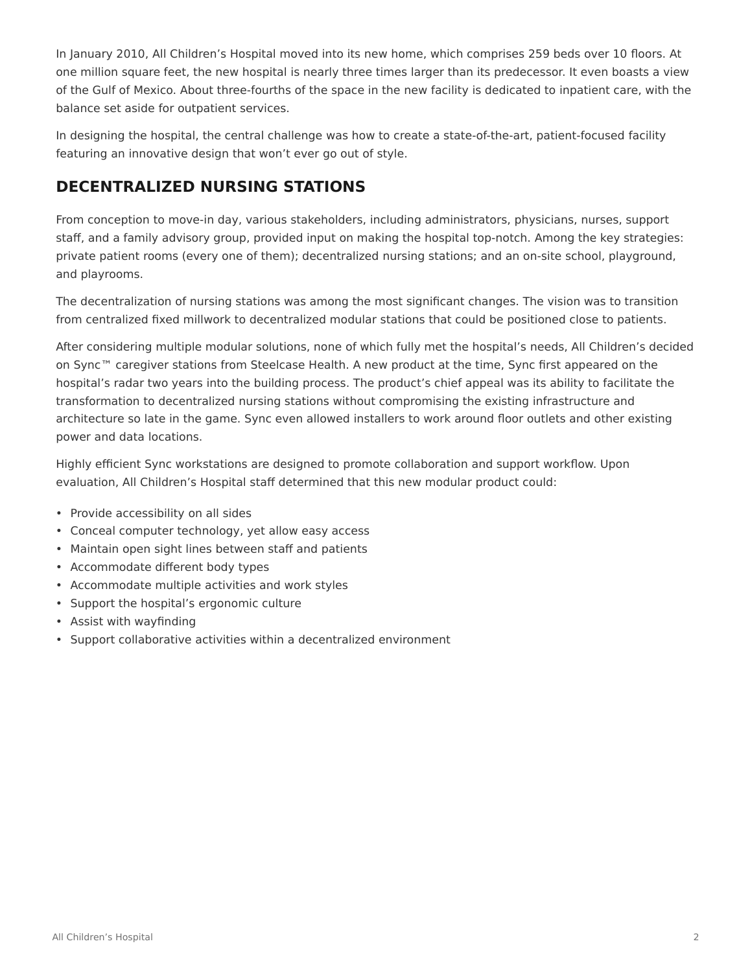In January 2010, All Children's Hospital moved into its new home, which comprises 259 beds over 10 floors. At one million square feet, the new hospital is nearly three times larger than its predecessor. It even boasts a view of the Gulf of Mexico. About three-fourths of the space in the new facility is dedicated to inpatient care, with the balance set aside for outpatient services.

In designing the hospital, the central challenge was how to create a state-of-the-art, patient-focused facility featuring an innovative design that won't ever go out of style.

# **DECENTRALIZED NURSING STATIONS**

From conception to move-in day, various stakeholders, including administrators, physicians, nurses, support staff, and a family advisory group, provided input on making the hospital top-notch. Among the key strategies: private patient rooms (every one of them); decentralized nursing stations; and an on-site school, playground, and playrooms.

The decentralization of nursing stations was among the most significant changes. The vision was to transition from centralized fixed millwork to decentralized modular stations that could be positioned close to patients.

After considering multiple modular solutions, none of which fully met the hospital's needs, All Children's decided on Sync™ caregiver stations from Steelcase Health. A new product at the time, Sync first appeared on the hospital's radar two years into the building process. The product's chief appeal was its ability to facilitate the transformation to decentralized nursing stations without compromising the existing infrastructure and architecture so late in the game. Sync even allowed installers to work around floor outlets and other existing power and data locations.

Highly efficient Sync workstations are designed to promote collaboration and support workflow. Upon evaluation, All Children's Hospital staff determined that this new modular product could:

- Provide accessibility on all sides
- Conceal computer technology, yet allow easy access
- Maintain open sight lines between staff and patients
- Accommodate different body types
- Accommodate multiple activities and work styles
- Support the hospital's ergonomic culture
- Assist with wayfinding
- Support collaborative activities within a decentralized environment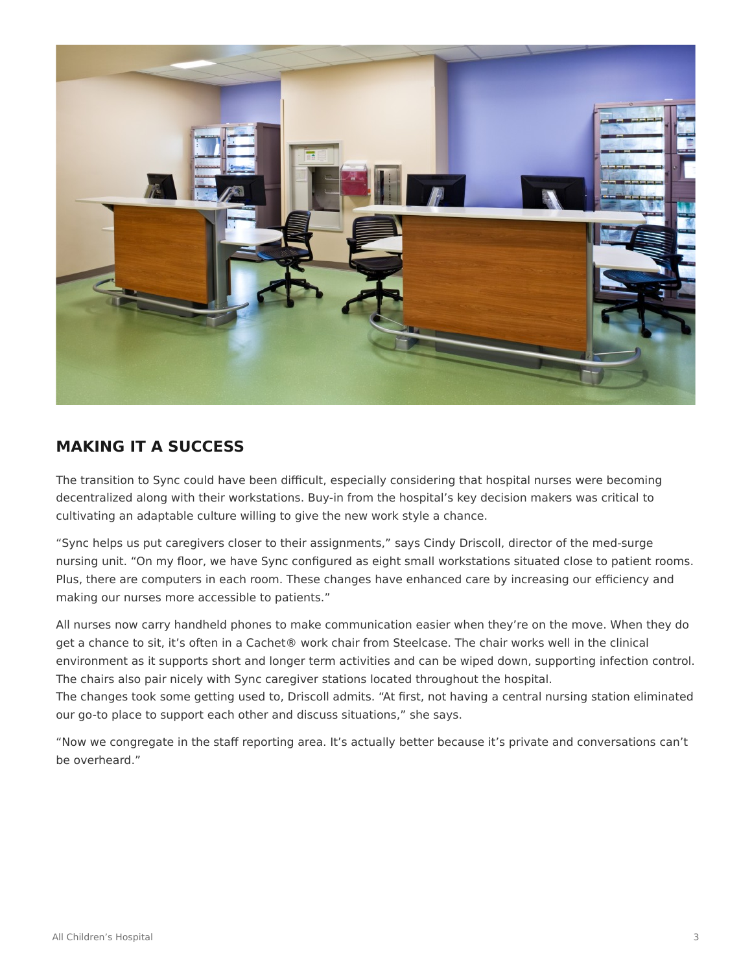

## **MAKING IT A SUCCESS**

The transition to Sync could have been difficult, especially considering that hospital nurses were becoming decentralized along with their workstations. Buy-in from the hospital's key decision makers was critical to cultivating an adaptable culture willing to give the new work style a chance.

"Sync helps us put caregivers closer to their assignments," says Cindy Driscoll, director of the med-surge nursing unit. "On my floor, we have Sync configured as eight small workstations situated close to patient rooms. Plus, there are computers in each room. These changes have enhanced care by increasing our efficiency and making our nurses more accessible to patients."

All nurses now carry handheld phones to make communication easier when they're on the move. When they do get a chance to sit, it's often in a Cachet® work chair from Steelcase. The chair works well in the clinical environment as it supports short and longer term activities and can be wiped down, supporting infection control. The chairs also pair nicely with Sync caregiver stations located throughout the hospital.

The changes took some getting used to, Driscoll admits. "At first, not having a central nursing station eliminated our go-to place to support each other and discuss situations," she says.

"Now we congregate in the staff reporting area. It's actually better because it's private and conversations can't be overheard."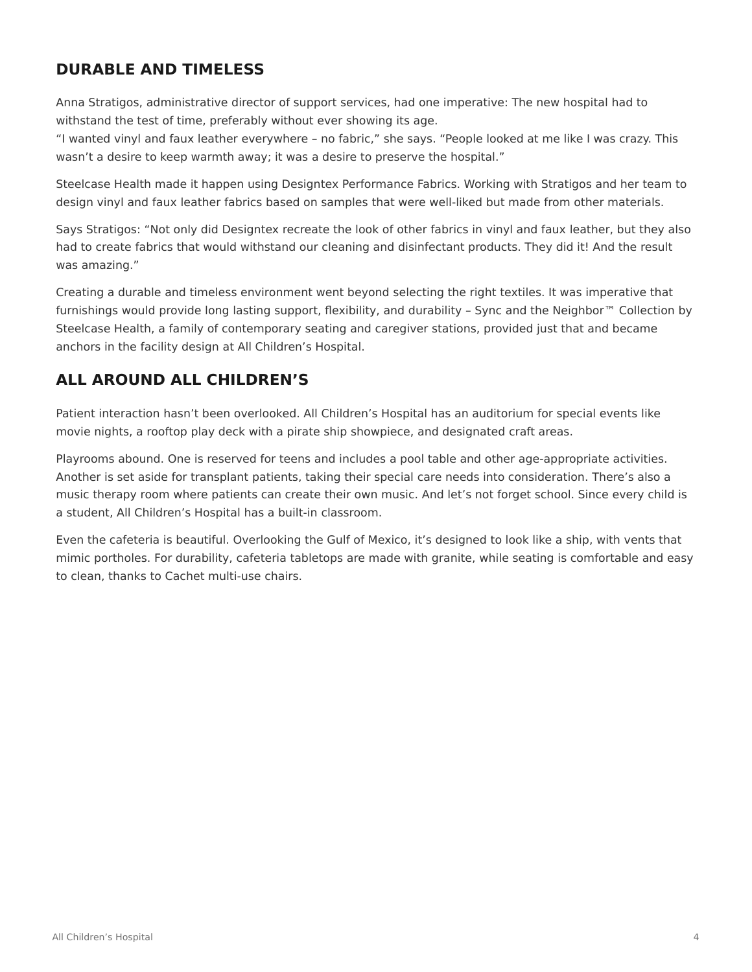## **DURABLE AND TIMELESS**

Anna Stratigos, administrative director of support services, had one imperative: The new hospital had to withstand the test of time, preferably without ever showing its age.

"I wanted vinyl and faux leather everywhere – no fabric," she says. "People looked at me like I was crazy. This wasn't a desire to keep warmth away; it was a desire to preserve the hospital."

Steelcase Health made it happen using Designtex Performance Fabrics. Working with Stratigos and her team to design vinyl and faux leather fabrics based on samples that were well-liked but made from other materials.

Says Stratigos: "Not only did Designtex recreate the look of other fabrics in vinyl and faux leather, but they also had to create fabrics that would withstand our cleaning and disinfectant products. They did it! And the result was amazing."

Creating a durable and timeless environment went beyond selecting the right textiles. It was imperative that furnishings would provide long lasting support, flexibility, and durability – Sync and the Neighbor™ Collection by Steelcase Health, a family of contemporary seating and caregiver stations, provided just that and became anchors in the facility design at All Children's Hospital.

# **ALL AROUND ALL CHILDREN'S**

Patient interaction hasn't been overlooked. All Children's Hospital has an auditorium for special events like movie nights, a rooftop play deck with a pirate ship showpiece, and designated craft areas.

Playrooms abound. One is reserved for teens and includes a pool table and other age-appropriate activities. Another is set aside for transplant patients, taking their special care needs into consideration. There's also a music therapy room where patients can create their own music. And let's not forget school. Since every child is a student, All Children's Hospital has a built-in classroom.

Even the cafeteria is beautiful. Overlooking the Gulf of Mexico, it's designed to look like a ship, with vents that mimic portholes. For durability, cafeteria tabletops are made with granite, while seating is comfortable and easy to clean, thanks to Cachet multi-use chairs.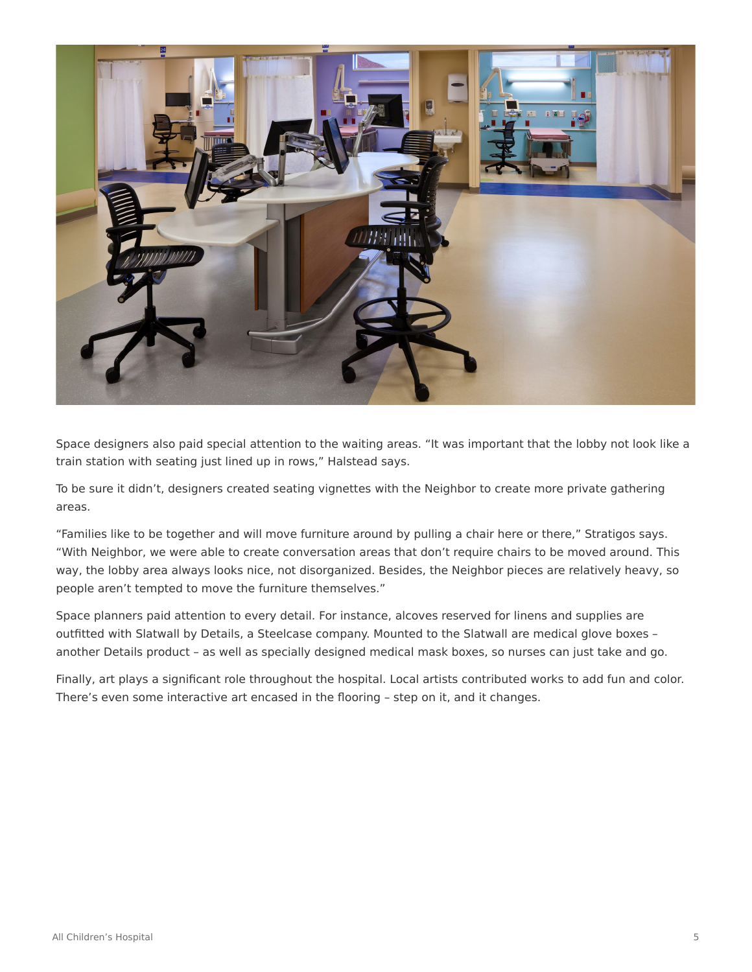

Space designers also paid special attention to the waiting areas. "It was important that the lobby not look like a train station with seating just lined up in rows," Halstead says.

To be sure it didn't, designers created seating vignettes with the Neighbor to create more private gathering areas.

"Families like to be together and will move furniture around by pulling a chair here or there," Stratigos says. "With Neighbor, we were able to create conversation areas that don't require chairs to be moved around. This way, the lobby area always looks nice, not disorganized. Besides, the Neighbor pieces are relatively heavy, so people aren't tempted to move the furniture themselves."

Space planners paid attention to every detail. For instance, alcoves reserved for linens and supplies are outfitted with Slatwall by Details, a Steelcase company. Mounted to the Slatwall are medical glove boxes – another Details product – as well as specially designed medical mask boxes, so nurses can just take and go.

Finally, art plays a significant role throughout the hospital. Local artists contributed works to add fun and color. There's even some interactive art encased in the flooring – step on it, and it changes.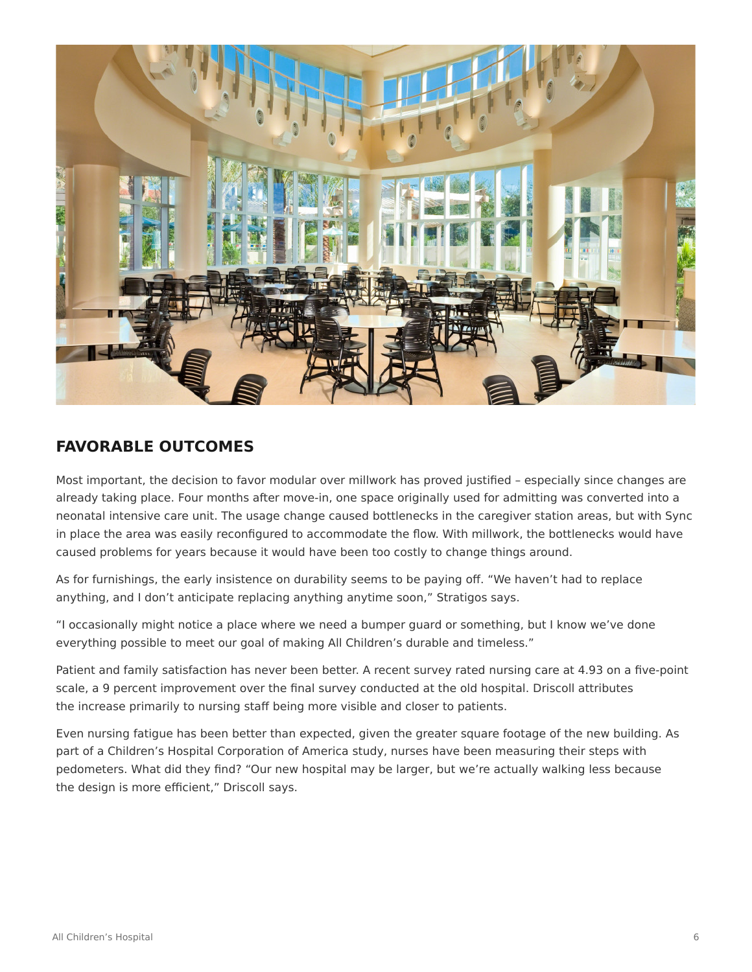

### **FAVORABLE OUTCOMES**

Most important, the decision to favor modular over millwork has proved justified – especially since changes are already taking place. Four months after move-in, one space originally used for admitting was converted into a neonatal intensive care unit. The usage change caused bottlenecks in the caregiver station areas, but with Sync in place the area was easily reconfigured to accommodate the flow. With millwork, the bottlenecks would have caused problems for years because it would have been too costly to change things around.

As for furnishings, the early insistence on durability seems to be paying off. "We haven't had to replace anything, and I don't anticipate replacing anything anytime soon," Stratigos says.

"I occasionally might notice a place where we need a bumper guard or something, but I know we've done everything possible to meet our goal of making All Children's durable and timeless."

Patient and family satisfaction has never been better. A recent survey rated nursing care at 4.93 on a five-point scale, a 9 percent improvement over the final survey conducted at the old hospital. Driscoll attributes the increase primarily to nursing staff being more visible and closer to patients.

Even nursing fatigue has been better than expected, given the greater square footage of the new building. As part of a Children's Hospital Corporation of America study, nurses have been measuring their steps with pedometers. What did they find? "Our new hospital may be larger, but we're actually walking less because the design is more efficient," Driscoll says.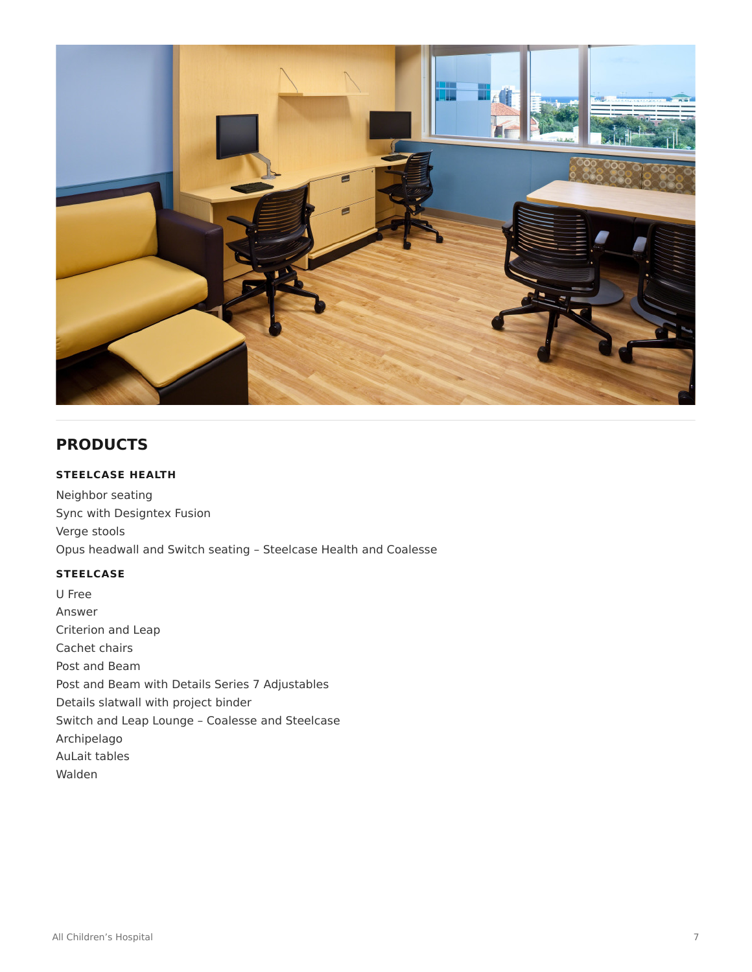

# **PRODUCTS**

### **STEELCASE HEALTH**

Neighbor seating Sync with Designtex Fusion Verge stools Opus headwall and Switch seating – Steelcase Health and Coalesse

#### **STEELCASE**

U Free Answer Criterion and Leap Cachet chairs Post and Beam Post and Beam with Details Series 7 Adjustables Details slatwall with project binder Switch and Leap Lounge – Coalesse and Steelcase Archipelago AuLait tables Walden